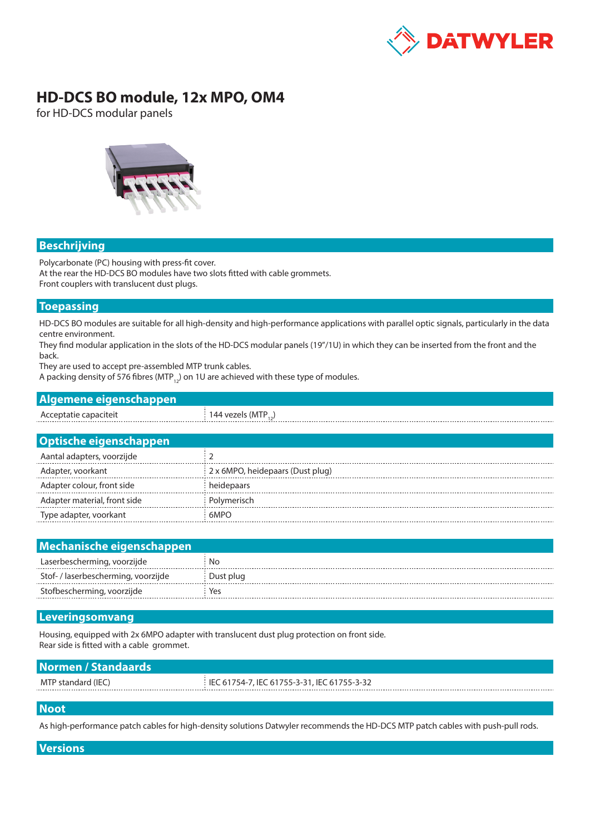

# **HD-DCS BO module, 12x MPO, OM4**

for HD-DCS modular panels



## **Beschrijving**

Polycarbonate (PC) housing with press-fit cover. At the rear the HD-DCS BO modules have two slots fitted with cable grommets. Front couplers with translucent dust plugs.

### **Toepassing**

HD-DCS BO modules are suitable for all high-density and high-performance applications with parallel optic signals, particularly in the data centre environment.

They find modular application in the slots of the HD-DCS modular panels (19"/1U) in which they can be inserted from the front and the back.

They are used to accept pre-assembled MTP trunk cables.

A packing density of 576 fibres (MTP<sub>12</sub>) on 1U are achieved with these type of modules.

| Algemene eigenschappen |                           |  |  |  |  |  |
|------------------------|---------------------------|--|--|--|--|--|
| Acceptatie capaciteit  | 144 vezels (MTP $_{12}$ ) |  |  |  |  |  |
|                        |                           |  |  |  |  |  |
| Optische eigenschappen |                           |  |  |  |  |  |

| Aantal adapters, voorzijde   |                                  |
|------------------------------|----------------------------------|
| Adapter, voorkant            | 2 x 6MPO, heidepaars (Dust plug) |
| Adapter colour, front side   | heidepaars                       |
| Adapter material, front side | Polymerisch                      |
| Type adapter, voorkant       | 6MPO                             |

| Mechanische eigenschappen           |           |  |  |  |  |
|-------------------------------------|-----------|--|--|--|--|
| Laserbescherming, voorzijde         | No        |  |  |  |  |
| Stof- / laserbescherming, voorzijde | Dust plug |  |  |  |  |
| Stofbescherming, voorzijde          | Yes       |  |  |  |  |

### **Leveringsomvang**

Housing, equipped with 2x 6MPO adapter with translucent dust plug protection on front side. Rear side is fitted with a cable grommet.

| i IEC 61754-7, IEC 61755-3-31, IEC 61755-3-32 |
|-----------------------------------------------|
|                                               |
|                                               |

#### **Noot**

As high-performance patch cables for high-density solutions Datwyler recommends the HD-DCS MTP patch cables with push-pull rods.

#### **Versions**